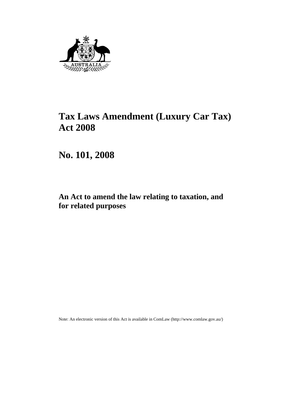

# **Tax Laws Amendment (Luxury Car Tax) Act 2008**

**No. 101, 2008** 

# **An Act to amend the law relating to taxation, and for related purposes**

Note: An electronic version of this Act is available in ComLaw (http://www.comlaw.gov.au/)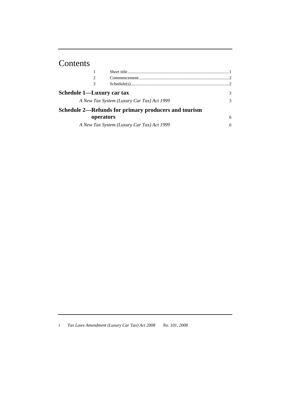# Contents

| $\mathcal{F}$                                                                                                                                                                              |
|--------------------------------------------------------------------------------------------------------------------------------------------------------------------------------------------|
| $\mathcal{E}$                                                                                                                                                                              |
|                                                                                                                                                                                            |
| 6                                                                                                                                                                                          |
| 6                                                                                                                                                                                          |
| Schedule 1—Luxury car tax<br>A New Tax System (Luxury Car Tax) Act 1999<br>Schedule 2—Refunds for primary producers and tourism<br>operators<br>A New Tax System (Luxury Car Tax) Act 1999 |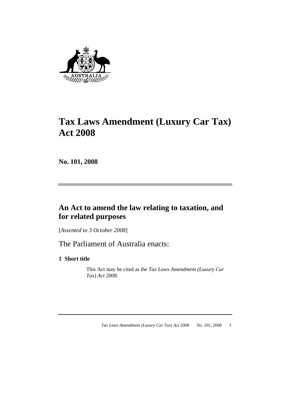

# **Tax Laws Amendment (Luxury Car Tax) Act 2008**

**No. 101, 2008** 

# **An Act to amend the law relating to taxation, and for related purposes**

[*Assented to 3 October 2008*]

The Parliament of Australia enacts:

**1 Short title** 

 This Act may be cited as the *Tax Laws Amendment (Luxury Car Tax) Act 2008*.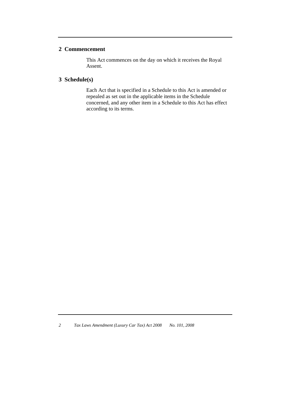#### **2 Commencement**

 This Act commences on the day on which it receives the Royal Assent.

# **3 Schedule(s)**

 Each Act that is specified in a Schedule to this Act is amended or repealed as set out in the applicable items in the Schedule concerned, and any other item in a Schedule to this Act has effect according to its terms.

*<sup>2</sup> Tax Laws Amendment (Luxury Car Tax) Act 2008 No. 101, 2008*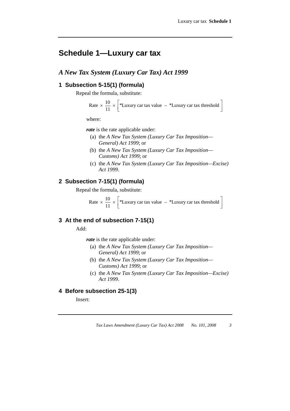# **Schedule 1—Luxury car tax**

## *A New Tax System (Luxury Car Tax) Act 1999*

## **1 Subsection 5-15(1) (formula)**

Repeal the formula, substitute:

Rate 
$$
\times \frac{10}{11} \times \left[ \times
$$
 Luxury car tax value  $- \times$  Luxury car tax threshold

where:

*rate* is the rate applicable under:

- (a) the *A New Tax System (Luxury Car Tax Imposition— General) Act 1999*; or
- (b) the *A New Tax System (Luxury Car Tax Imposition— Customs) Act 1999*; or
- (c) the *A New Tax System (Luxury Car Tax Imposition—Excise) Act 1999*.

#### **2 Subsection 7-15(1) (formula)**

Repeal the formula, substitute:

Rate 
$$
\times \frac{10}{11} \times \left[ \times
$$
Luxury car tax value  $- \times$ Luxury car tax threshold

#### **3 At the end of subsection 7-15(1)**

Add:

*rate* is the rate applicable under:

- (a) the *A New Tax System (Luxury Car Tax Imposition— General) Act 1999*; or
- (b) the *A New Tax System (Luxury Car Tax Imposition— Customs) Act 1999*; or
- (c) the *A New Tax System (Luxury Car Tax Imposition—Excise) Act 1999*.

# **4 Before subsection 25-1(3)**

Insert: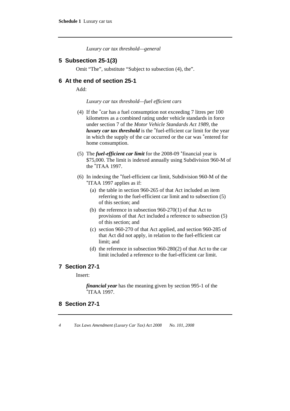*Luxury car tax threshold—general* 

#### **5 Subsection 25-1(3)**

Omit "The", substitute "Subject to subsection (4), the".

#### **6 At the end of section 25-1**

Add:

#### *Luxury car tax threshold—fuel efficient cars*

- (4) If the \*car has a fuel consumption not exceeding 7 litres per 100 kilometres as a combined rating under vehicle standards in force under section 7 of the *Motor Vehicle Standards Act 1989*, the *luxury car tax threshold* is the \*fuel-efficient car limit for the year in which the supply of the car occurred or the car was \*entered for home consumption.
- (5) The *fuel-efficient car limit* for the 2008-09 \*financial year is \$75,000. The limit is indexed annually using Subdivision 960-M of the \*ITAA 1997.
- (6) In indexing the \*fuel-efficient car limit, Subdivision 960-M of the \*ITAA 1997 applies as if:
	- (a) the table in section 960-265 of that Act included an item referring to the fuel-efficient car limit and to subsection (5) of this section; and
	- (b) the reference in subsection 960-270(1) of that Act to provisions of that Act included a reference to subsection (5) of this section; and
	- (c) section 960-270 of that Act applied, and section 960-285 of that Act did not apply, in relation to the fuel-efficient car limit; and
	- (d) the reference in subsection 960-280(2) of that Act to the car limit included a reference to the fuel-efficient car limit.

### **7 Section 27-1**

Insert:

*financial year* has the meaning given by section 995-1 of the \*ITAA 1997.

# **8 Section 27-1**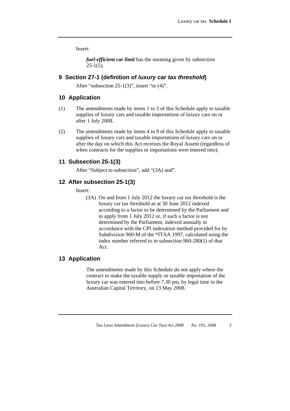Insert:

*fuel-efficient car limit* has the meaning given by subsection  $25-1(5)$ .

#### **9 Section 27-1 (definition of** *luxury car tax threshold***)**

After "subsection 25-1(3)", insert "or (4)".

#### **10 Application**

- (1) The amendments made by items 1 to 3 of this Schedule apply to taxable supplies of luxury cars and taxable importations of luxury cars on or after 1 July 2008.
- (2) The amendments made by items 4 to 9 of this Schedule apply to taxable supplies of luxury cars and taxable importations of luxury cars on or after the day on which this Act receives the Royal Assent (regardless of when contracts for the supplies or importations were entered into).

## **11 Subsection 25-1(3)**

After "Subject to subsection", add "(3A) and".

## **12 After subsection 25-1(3)**

Insert:

 (3A) On and from 1 July 2012 the luxury car tax threshold is the luxury car tax threshold as at 30 June 2012 indexed according to a factor to be determined by the Parliament and to apply from 1 July 2012 or, if such a factor is not determined by the Parliament, indexed annually in accordance with the CPI indexation method provided for by Subdivision 960-M of the \*ITAA 1997, calculated using the index number referred to in subsection 960-280(1) of that Act.

## **13 Application**

 The amendments made by this Schedule do not apply where the contract to make the taxable supply or taxable importation of the luxury car was entered into before 7.30 pm, by legal time in the Australian Capital Territory, on 13 May 2008.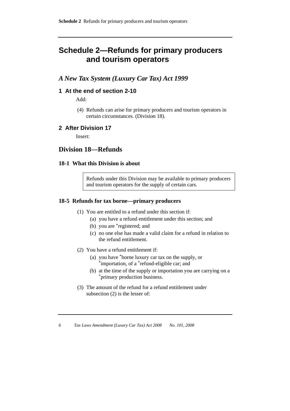# **Schedule 2—Refunds for primary producers and tourism operators**

# *A New Tax System (Luxury Car Tax) Act 1999*

### **1 At the end of section 2-10**

Add:

 (4) Refunds can arise for primary producers and tourism operators in certain circumstances. (Division 18).

#### **2 After Division 17**

Insert:

# **Division 18—Refunds**

#### **18-1 What this Division is about**

Refunds under this Division may be available to primary producers and tourism operators for the supply of certain cars.

#### **18-5 Refunds for tax borne—primary producers**

- (1) You are entitled to a refund under this section if:
	- (a) you have a refund entitlement under this section; and
	- (b) you are \*registered; and
	- (c) no one else has made a valid claim for a refund in relation to the refund entitlement.
- (2) You have a refund entitlement if:
	- (a) you have \*borne luxury car tax on the supply, or \*importation, of a \*refund-eligible car; and
	- (b) at the time of the supply or importation you are carrying on a \*primary production business.
- (3) The amount of the refund for a refund entitlement under subsection (2) is the lesser of: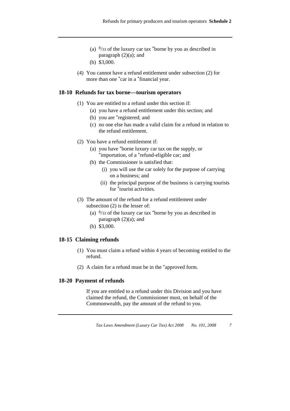- (a) 8/33 of the luxury car tax \*borne by you as described in paragraph  $(2)(a)$ ; and
- (b) \$3,000.
- (4) You cannot have a refund entitlement under subsection (2) for more than one \*car in a \*financial year.

#### **18-10 Refunds for tax borne—tourism operators**

- (1) You are entitled to a refund under this section if:
	- (a) you have a refund entitlement under this section; and
	- (b) you are \*registered; and
	- (c) no one else has made a valid claim for a refund in relation to the refund entitlement.
- (2) You have a refund entitlement if:
	- (a) you have \*borne luxury car tax on the supply, or \*importation, of a \*refund-eligible car; and
	- (b) the Commissioner is satisfied that:
		- (i) you will use the car solely for the purpose of carrying on a business; and
		- (ii) the principal purpose of the business is carrying tourists for \*tourist activities.
- (3) The amount of the refund for a refund entitlement under subsection (2) is the lesser of:
	- (a)  $\frac{8}{33}$  of the luxury car tax \*borne by you as described in paragraph  $(2)(a)$ ; and
	- (b) \$3,000.

#### **18-15 Claiming refunds**

- (1) You must claim a refund within 4 years of becoming entitled to the refund.
- (2) A claim for a refund must be in the \*approved form.

#### **18-20 Payment of refunds**

 If you are entitled to a refund under this Division and you have claimed the refund, the Commissioner must, on behalf of the Commonwealth, pay the amount of the refund to you.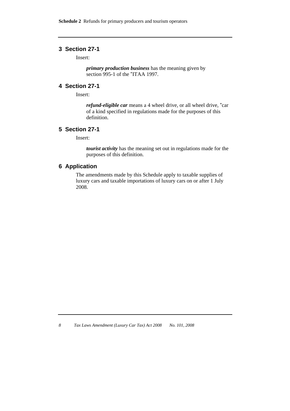## **3 Section 27-1**

Insert:

*primary production business* has the meaning given by section 995-1 of the \*ITAA 1997.

## **4 Section 27-1**

Insert:

*refund-eligible car* means a 4 wheel drive, or all wheel drive, \*car of a kind specified in regulations made for the purposes of this definition.

#### **5 Section 27-1**

Insert:

*tourist activity* has the meaning set out in regulations made for the purposes of this definition.

#### **6 Application**

The amendments made by this Schedule apply to taxable supplies of luxury cars and taxable importations of luxury cars on or after 1 July 2008.